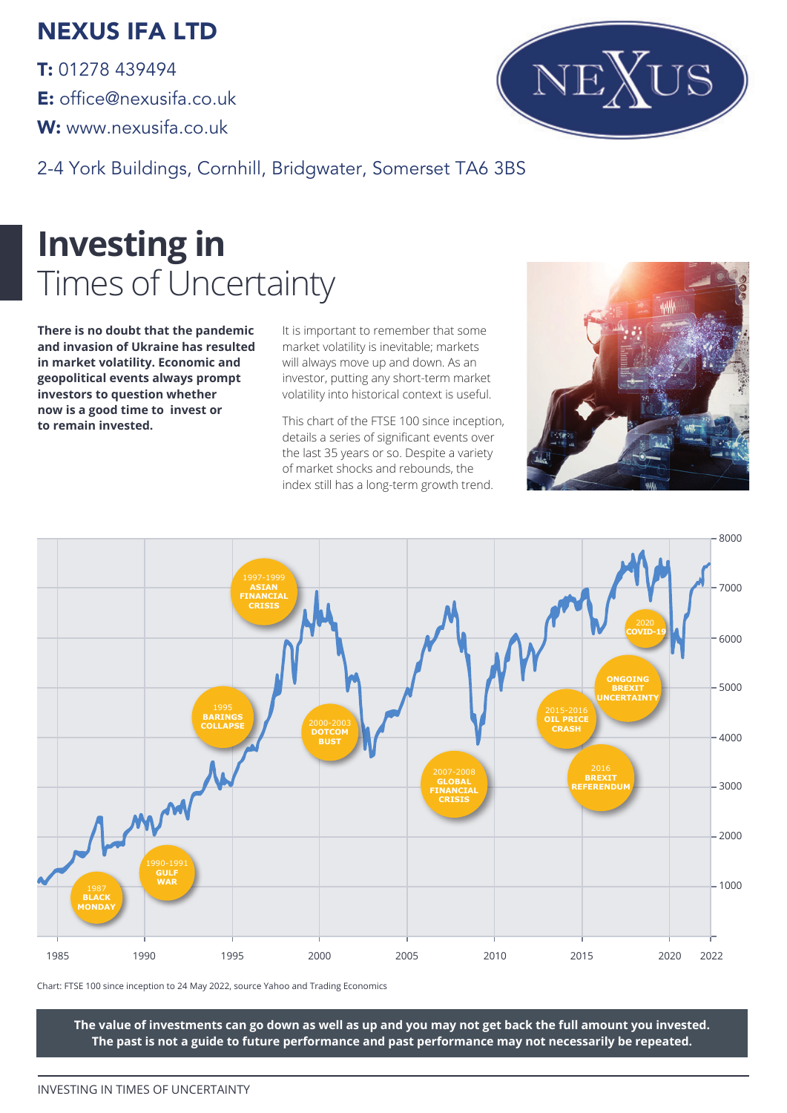### NEXUS IFA LTD

T: 01278 439494 E: office@nexusifa.co.uk W: www.nexusifa.co.uk



2-4 York Buildings, Cornhill, Bridgwater, Somerset TA6 3BS

# **Investing in**  Times of Uncertainty

**There is no doubt that the pandemic and invasion of Ukraine has resulted in market volatility. Economic and geopolitical events always prompt investors to question whether now is a good time to invest or to remain invested.**

It is important to remember that some market volatility is inevitable; markets will always move up and down. As an investor, putting any short-term market volatility into historical context is useful.

This chart of the FTSE 100 since inception, details a series of significant events over the last 35 years or so. Despite a variety of market shocks and rebounds, the index still has a long-term growth trend.





Chart: FTSE 100 since inception to 24 May 2022, source Yahoo and Trading Economics

**The value of investments can go down as well as up and you may not get back the full amount you invested. The past is not a guide to future performance and past performance may not necessarily be repeated.**